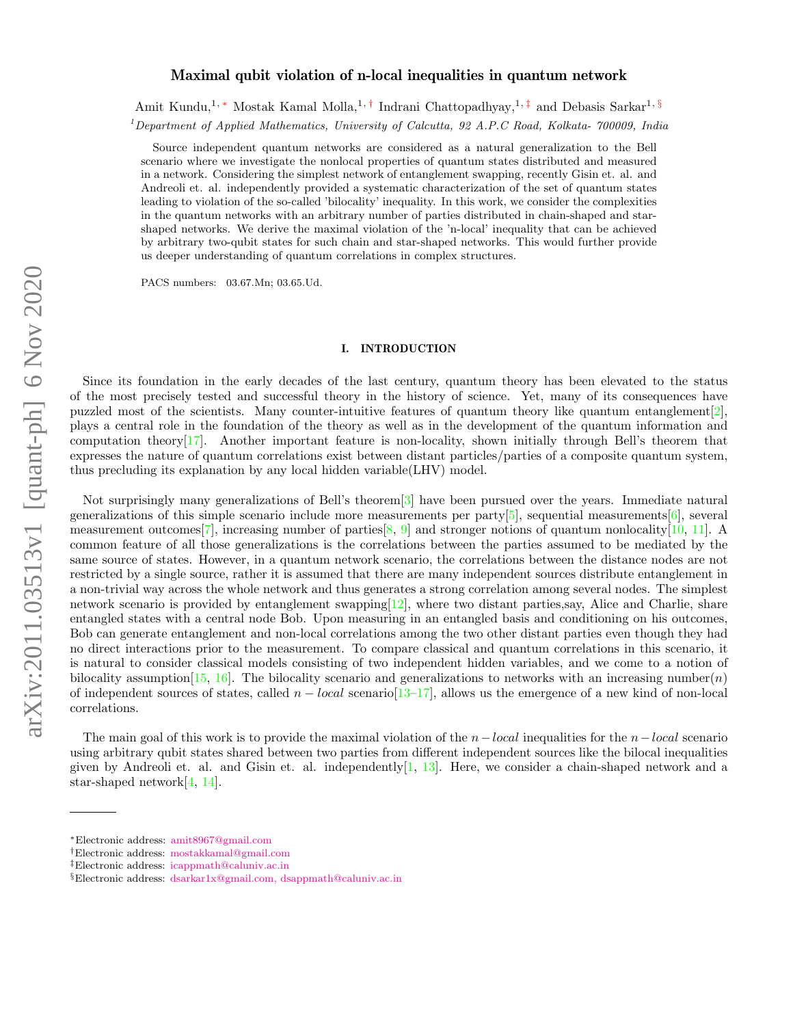# arXiv:2011.03513v1 [quant-ph] 6 Nov 2020 arXiv:2011.03513v1 [quant-ph] 6 Nov 2020

# Maximal qubit violation of n-local inequalities in quantum network

Amit Kundu,<sup>1,</sup> ∗ Mostak Kamal Molla,<sup>1,†</sup> Indrani Chattopadhyay,<sup>1,‡</sup> and Debasis Sarkar<sup>1,§</sup> <sup>1</sup>Department of Applied Mathematics, University of Calcutta, 92 A.P.C Road, Kolkata- 700009, India

Source independent quantum networks are considered as a natural generalization to the Bell scenario where we investigate the nonlocal properties of quantum states distributed and measured in a network. Considering the simplest network of entanglement swapping, recently Gisin et. al. and Andreoli et. al. independently provided a systematic characterization of the set of quantum states leading to violation of the so-called 'bilocality' inequality. In this work, we consider the complexities in the quantum networks with an arbitrary number of parties distributed in chain-shaped and starshaped networks. We derive the maximal violation of the 'n-local' inequality that can be achieved by arbitrary two-qubit states for such chain and star-shaped networks. This would further provide us deeper understanding of quantum correlations in complex structures.

PACS numbers: 03.67.Mn; 03.65.Ud.

### I. INTRODUCTION

Since its foundation in the early decades of the last century, quantum theory has been elevated to the status of the most precisely tested and successful theory in the history of science. Yet, many of its consequences have puzzled most of the scientists. Many counter-intuitive features of quantum theory like quantum entanglement[2], plays a central role in the foundation of the theory as well as in the development of the quantum information and computation theory[17]. Another important feature is non-locality, shown initially through Bell's theorem that expresses the nature of quantum correlations exist between distant particles/parties of a composite quantum system, thus precluding its explanation by any local hidden variable(LHV) model.

Not surprisingly many generalizations of Bell's theorem[3] have been pursued over the years. Immediate natural generalizations of this simple scenario include more measurements per party[5], sequential measurements[6], several measurement outcomes<sup>[7]</sup>, increasing number of parties  $[8, 9]$  and stronger notions of quantum nonlocality [10, 11]. A common feature of all those generalizations is the correlations between the parties assumed to be mediated by the same source of states. However, in a quantum network scenario, the correlations between the distance nodes are not restricted by a single source, rather it is assumed that there are many independent sources distribute entanglement in a non-trivial way across the whole network and thus generates a strong correlation among several nodes. The simplest network scenario is provided by entanglement swapping  $[12]$ , where two distant parties, say, Alice and Charlie, share entangled states with a central node Bob. Upon measuring in an entangled basis and conditioning on his outcomes, Bob can generate entanglement and non-local correlations among the two other distant parties even though they had no direct interactions prior to the measurement. To compare classical and quantum correlations in this scenario, it is natural to consider classical models consisting of two independent hidden variables, and we come to a notion of bilocality assumption [15, 16]. The bilocality scenario and generalizations to networks with an increasing number(n) of independent sources of states, called  $n - local$  scenario[13–17], allows us the emergence of a new kind of non-local correlations.

The main goal of this work is to provide the maximal violation of the  $n-local$  inequalities for the  $n-local$  scenario using arbitrary qubit states shared between two parties from different independent sources like the bilocal inequalities given by Andreoli et. al. and Gisin et. al. independently $[1, 13]$ . Here, we consider a chain-shaped network and a star-shaped network[4, 14].

<sup>∗</sup>Electronic address: amit8967@gmail.com

<sup>†</sup>Electronic address: mostakkamal@gmail.com

<sup>‡</sup>Electronic address: icappmath@caluniv.ac.in

<sup>§</sup>Electronic address: dsarkar1x@gmail.com, dsappmath@caluniv.ac.in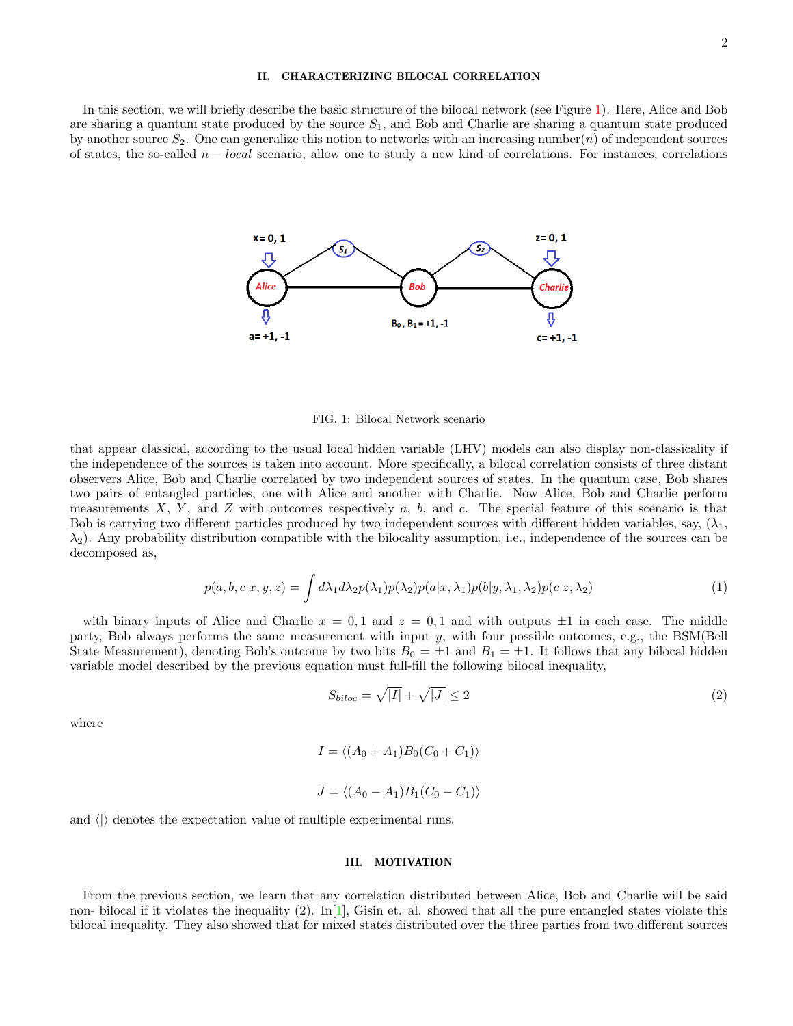## II. CHARACTERIZING BILOCAL CORRELATION

In this section, we will briefly describe the basic structure of the bilocal network (see Figure 1). Here, Alice and Bob are sharing a quantum state produced by the source  $S_1$ , and Bob and Charlie are sharing a quantum state produced by another source  $S_2$ . One can generalize this notion to networks with an increasing number(n) of independent sources of states, the so-called  $n - local$  scenario, allow one to study a new kind of correlations. For instances, correlations



FIG. 1: Bilocal Network scenario

that appear classical, according to the usual local hidden variable (LHV) models can also display non-classicality if the independence of the sources is taken into account. More specifically, a bilocal correlation consists of three distant observers Alice, Bob and Charlie correlated by two independent sources of states. In the quantum case, Bob shares two pairs of entangled particles, one with Alice and another with Charlie. Now Alice, Bob and Charlie perform measurements X, Y, and Z with outcomes respectively a, b, and c. The special feature of this scenario is that Bob is carrying two different particles produced by two independent sources with different hidden variables, say,  $(\lambda_1,$  $\lambda_2$ ). Any probability distribution compatible with the bilocality assumption, i.e., independence of the sources can be decomposed as,

$$
p(a,b,c|x,y,z) = \int d\lambda_1 d\lambda_2 p(\lambda_1) p(\lambda_2) p(a|x,\lambda_1) p(b|y,\lambda_1,\lambda_2) p(c|z,\lambda_2)
$$
\n(1)

with binary inputs of Alice and Charlie  $x = 0, 1$  and  $z = 0, 1$  and with outputs  $\pm 1$  in each case. The middle party, Bob always performs the same measurement with input y, with four possible outcomes, e.g., the BSM(Bell State Measurement), denoting Bob's outcome by two bits  $B_0 = \pm 1$  and  $B_1 = \pm 1$ . It follows that any bilocal hidden variable model described by the previous equation must full-fill the following bilocal inequality,

$$
S_{biloc} = \sqrt{|I|} + \sqrt{|J|} \le 2\tag{2}
$$

where

$$
I = \langle (A_0 + A_1)B_0(C_0 + C_1) \rangle
$$
  

$$
J = \langle (A_0 - A_1)B_1(C_0 - C_1) \rangle
$$

and  $\langle \rangle$  denotes the expectation value of multiple experimental runs.

### III. MOTIVATION

From the previous section, we learn that any correlation distributed between Alice, Bob and Charlie will be said non- bilocal if it violates the inequality (2).  $\text{In}[1]$ , Gisin et. al. showed that all the pure entangled states violate this bilocal inequality. They also showed that for mixed states distributed over the three parties from two different sources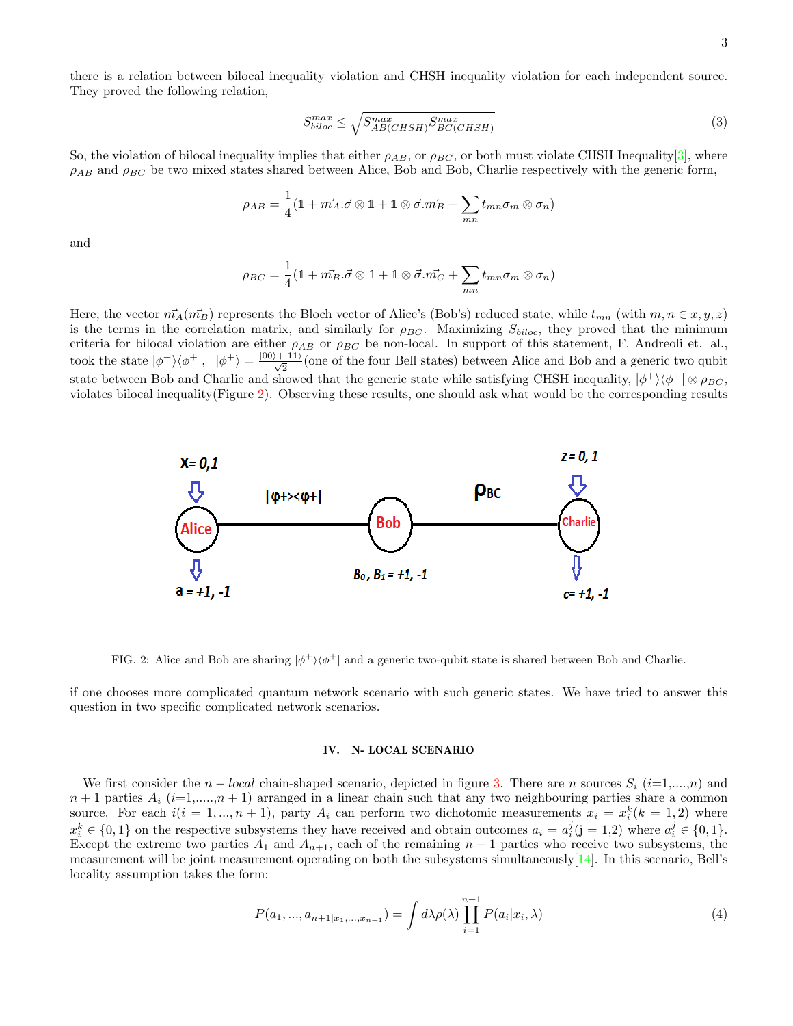there is a relation between bilocal inequality violation and CHSH inequality violation for each independent source. They proved the following relation,

$$
S_{biloc}^{max} \le \sqrt{S_{AB(CHSH)}^{max} S_{BC(CHSH)}^{max}} \tag{3}
$$

So, the violation of bilocal inequality implies that either  $\rho_{AB}$ , or  $\rho_{BC}$ , or both must violate CHSH Inequality[3], where  $\rho_{AB}$  and  $\rho_{BC}$  be two mixed states shared between Alice, Bob and Bob, Charlie respectively with the generic form,

$$
\rho_{AB} = \frac{1}{4} (\mathbb{1} + m_A^2 \cdot \vec{\sigma} \otimes \mathbb{1} + \mathbb{1} \otimes \vec{\sigma} \cdot m_B^2 + \sum_{mn} t_{mn} \sigma_m \otimes \sigma_n)
$$

and

$$
\rho_{BC} = \frac{1}{4} (\mathbb{1} + m_B \cdot \vec{\sigma} \otimes \mathbb{1} + \mathbb{1} \otimes \vec{\sigma} \cdot \vec{m_C} + \sum_{mn} t_{mn} \sigma_m \otimes \sigma_n)
$$

Here, the vector  $\vec{m}_A(\vec{m}_B)$  represents the Bloch vector of Alice's (Bob's) reduced state, while  $t_{mn}$  (with  $m, n \in x, y, z$ ) is the terms in the correlation matrix, and similarly for  $\rho_{BC}$ . Maximizing  $S_{biloc}$ , they proved that the minimum criteria for bilocal violation are either  $\rho_{AB}$  or  $\rho_{BC}$  be non-local. In support of this statement, F. Andreoli et. al., took the state  $|\phi^{+}\rangle\langle\phi^{+}|, \quad |\phi^{+}\rangle = \frac{|00\rangle + |11\rangle}{\sqrt{2}}$  (one of the four Bell states) between Alice and Bob and a generic two qubit state between Bob and Charlie and showed that the generic state while satisfying CHSH inequality,  $|\phi^+\rangle\langle\phi^+|\otimes\rho_{BC}$ , violates bilocal inequality(Figure 2). Observing these results, one should ask what would be the corresponding results



FIG. 2: Alice and Bob are sharing  $|\phi^+\rangle\langle\phi^+|$  and a generic two-qubit state is shared between Bob and Charlie.

if one chooses more complicated quantum network scenario with such generic states. We have tried to answer this question in two specific complicated network scenarios.

# IV. N- LOCAL SCENARIO

We first consider the  $n - local$  chain-shaped scenario, depicted in figure 3. There are n sources  $S_i$  (i=1,...,n) and  $n+1$  parties  $A_i$  (i=1,...., $n+1$ ) arranged in a linear chain such that any two neighbouring parties share a common source. For each  $i(i = 1, ..., n + 1)$ , party  $A_i$  can perform two dichotomic measurements  $x_i = x_i^k (k = 1, 2)$  where  $x_i^k \in \{0, 1\}$  on the respective subsystems they have received and obtain outcomes  $a_i = a_i^j (j = 1, 2)$  where  $a_i^j \in \{0, 1\}$ . Except the extreme two parties  $A_1$  and  $A_{n+1}$ , each of the remaining  $n-1$  parties who receive two subsystems, the measurement will be joint measurement operating on both the subsystems simultaneously $[14]$ . In this scenario, Bell's locality assumption takes the form:

$$
P(a_1, ..., a_{n+1}|x_1, ..., x_{n+1}) = \int d\lambda \rho(\lambda) \prod_{i=1}^{n+1} P(a_i|x_i, \lambda)
$$
\n(4)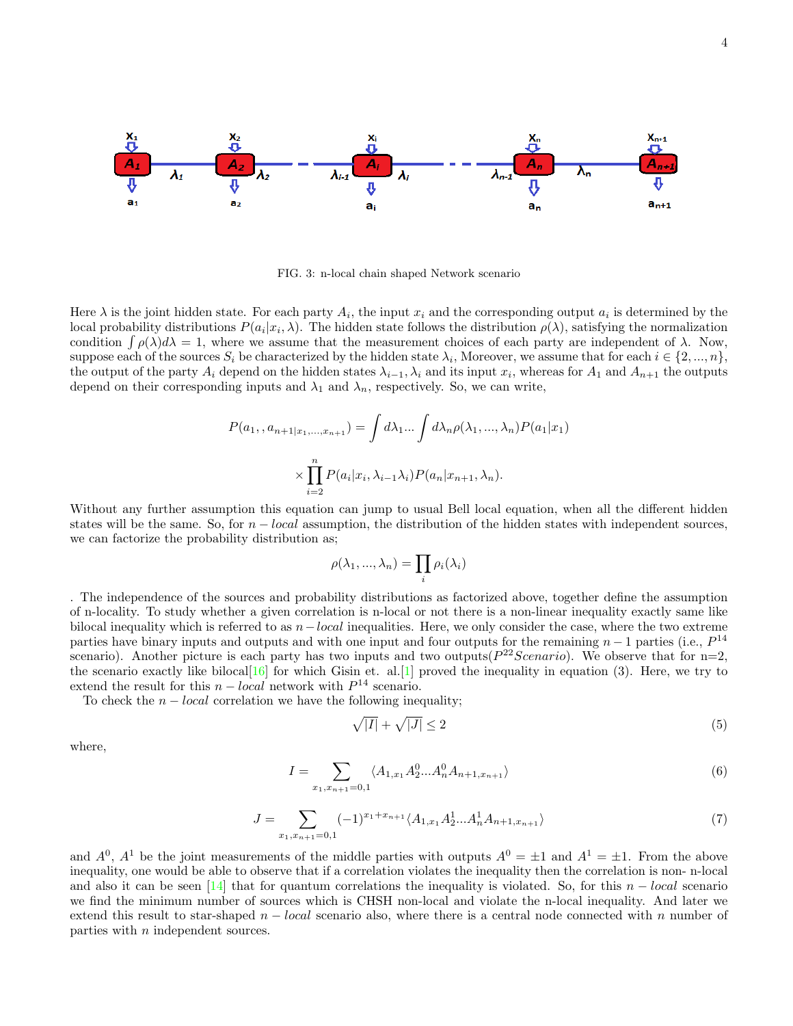

FIG. 3: n-local chain shaped Network scenario

Here  $\lambda$  is the joint hidden state. For each party  $A_i$ , the input  $x_i$  and the corresponding output  $a_i$  is determined by the local probability distributions  $P(a_i|x_i,\lambda)$ . The hidden state follows the distribution  $\rho(\lambda)$ , satisfying the normalization condition  $\int \rho(\lambda)d\lambda = 1$ , where we assume that the measurement choices of each party are independent of  $\lambda$ . Now, suppose each of the sources  $S_i$  be characterized by the hidden state  $\lambda_i$ , Moreover, we assume that for each  $i \in \{2, ..., n\}$ , the output of the party  $A_i$  depend on the hidden states  $\lambda_{i-1}, \lambda_i$  and its input  $x_i$ , whereas for  $A_1$  and  $A_{n+1}$  the outputs depend on their corresponding inputs and  $\lambda_1$  and  $\lambda_n$ , respectively. So, we can write,

$$
P(a_1, a_{n+1|x_1,\dots,x_{n+1}}) = \int d\lambda_1 \dots \int d\lambda_n \rho(\lambda_1, \dots, \lambda_n) P(a_1|x_1)
$$

$$
\times \prod_{i=2}^n P(a_i|x_i, \lambda_{i-1}\lambda_i) P(a_n|x_{n+1}, \lambda_n).
$$

Without any further assumption this equation can jump to usual Bell local equation, when all the different hidden states will be the same. So, for  $n - local$  assumption, the distribution of the hidden states with independent sources, we can factorize the probability distribution as;

$$
\rho(\lambda_1, ..., \lambda_n) = \prod_i \rho_i(\lambda_i)
$$

. The independence of the sources and probability distributions as factorized above, together define the assumption of n-locality. To study whether a given correlation is n-local or not there is a non-linear inequality exactly same like bilocal inequality which is referred to as  $n-local$  inequalities. Here, we only consider the case, where the two extreme parties have binary inputs and outputs and with one input and four outputs for the remaining  $n-1$  parties (i.e.,  $P^{14}$ ) scenario). Another picture is each party has two inputs and two outputs( $P^{22}Scenario$ ). We observe that for n=2, the scenario exactly like bilocal<sup>[16]</sup> for which Gisin et. al.<sup>[1]</sup> proved the inequality in equation  $(3)$ . Here, we try to extend the result for this  $n - local$  network with  $P<sup>14</sup>$  scenario.

To check the  $n - local$  correlation we have the following inequality;

$$
\sqrt{|I|} + \sqrt{|J|} \le 2\tag{5}
$$

where,

$$
I = \sum_{x_1, x_{n+1} = 0, 1} \langle A_{1, x_1} A_2^0 \dots A_n^0 A_{n+1, x_{n+1}} \rangle
$$
\n
$$
(6)
$$

$$
J = \sum_{x_1, x_{n+1} = 0, 1} (-1)^{x_1 + x_{n+1}} \langle A_{1, x_1} A_2^1 \dots A_n^1 A_{n+1, x_{n+1}} \rangle \tag{7}
$$

and  $A^0$ ,  $A^1$  be the joint measurements of the middle parties with outputs  $A^0 = \pm 1$  and  $A^1 = \pm 1$ . From the above inequality, one would be able to observe that if a correlation violates the inequality then the correlation is non- n-local and also it can be seen [14] that for quantum correlations the inequality is violated. So, for this  $n - local$  scenario we find the minimum number of sources which is CHSH non-local and violate the n-local inequality. And later we extend this result to star-shaped  $n - local$  scenario also, where there is a central node connected with n number of parties with n independent sources.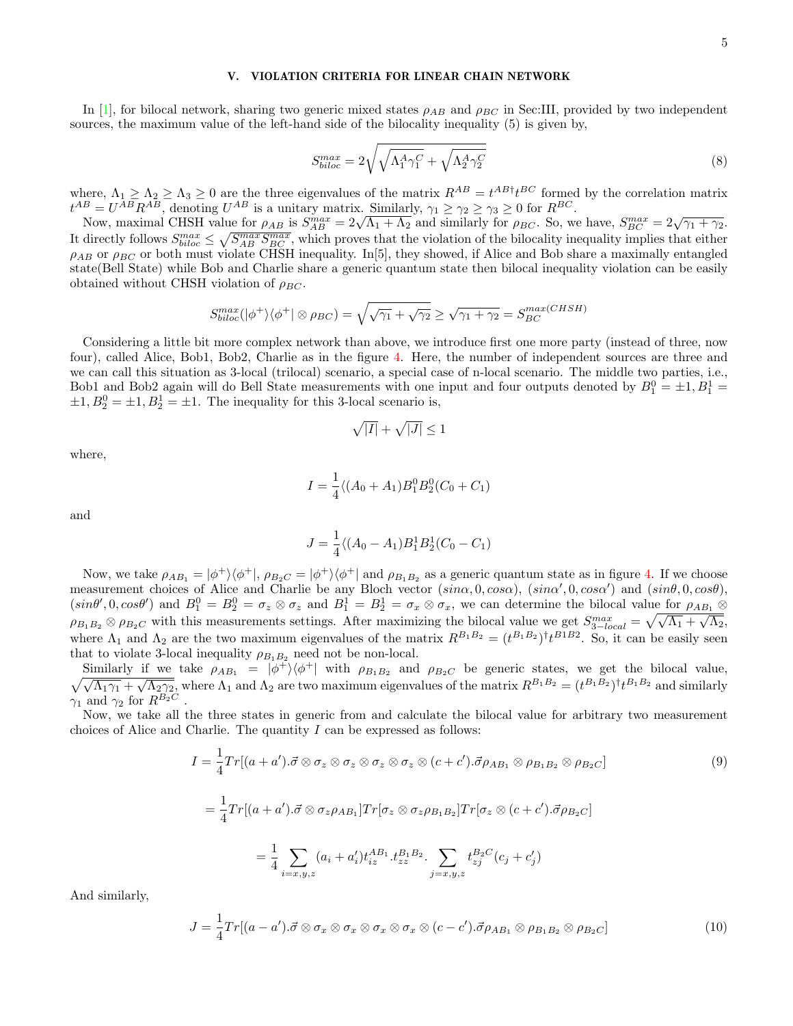## V. VIOLATION CRITERIA FOR LINEAR CHAIN NETWORK

In [1], for bilocal network, sharing two generic mixed states  $\rho_{AB}$  and  $\rho_{BC}$  in Sec:III, provided by two independent sources, the maximum value of the left-hand side of the bilocality inequality (5) is given by,

$$
S_{biloc}^{max} = 2\sqrt{\sqrt{\Lambda_1^A \gamma_1^C} + \sqrt{\Lambda_2^A \gamma_2^C}}
$$
\n(8)

where,  $\Lambda_1 \geq \Lambda_2 \geq \Lambda_3 \geq 0$  are the three eigenvalues of the matrix  $R^{AB} = t^{AB\dagger}t^{BC}$  formed by the correlation matrix  $t^{AB} = U^{AB} R^{AB}$ , denoting  $U^{AB}$  is a unitary matrix. Similarly,  $\gamma_1 \geq \gamma_2 \geq \gamma_3 \geq 0$  for  $R^{BC}$ .

Now, maximal CHSH value for  $\rho_{AB}$  is  $S_{AB}^{max} = 2\sqrt{\Lambda_1 + \Lambda_2}$  and similarly for  $\rho_{BC}$ . So, we have,  $S_{BC}^{max} = 2\sqrt{\gamma_1 + \gamma_2}$ . It directly follows  $S_{biloc}^{max} \leq \sqrt{S_{AB}^{max} S_{BC}^{max}}$ , which proves that the violation of the bilocality inequality implies that either  $\rho_{AB}$  or  $\rho_{BC}$  or both must violate CHSH inequality. In [5], they showed, if Alice and Bob share a maximally entangled state(Bell State) while Bob and Charlie share a generic quantum state then bilocal inequality violation can be easily obtained without CHSH violation of  $\rho_{BC}$ .

$$
S_{biloc}^{max}(|\phi^{+}\rangle\langle\phi^{+}| \otimes \rho_{BC}) = \sqrt{\sqrt{\gamma_1} + \sqrt{\gamma_2}} \ge \sqrt{\gamma_1 + \gamma_2} = S_{BC}^{max(CHSH)}
$$

Considering a little bit more complex network than above, we introduce first one more party (instead of three, now four), called Alice, Bob1, Bob2, Charlie as in the figure 4. Here, the number of independent sources are three and we can call this situation as 3-local (trilocal) scenario, a special case of n-local scenario. The middle two parties, i.e., Bob1 and Bob2 again will do Bell State measurements with one input and four outputs denoted by  $B_1^0 = \pm 1$ ,  $B_1^1 =$  $\pm 1, B_2^0 = \pm 1, B_2^1 = \pm 1$ . The inequality for this 3-local scenario is,

$$
\sqrt{|I|} + \sqrt{|J|} \le 1
$$

where,

$$
I = \frac{1}{4} \langle (A_0 + A_1) B_1^0 B_2^0 (C_0 + C_1)
$$

and

$$
J = \frac{1}{4} \langle (A_0 - A_1) B_1^1 B_2^1 (C_0 - C_1)
$$

Now, we take  $\rho_{AB_1} = |\phi^+\rangle\langle\phi^+|$ ,  $\rho_{B_2C} = |\phi^+\rangle\langle\phi^+|$  and  $\rho_{B_1B_2}$  as a generic quantum state as in figure 4. If we choose measurement choices of Alice and Charlie be any Bloch vector  $(sin\alpha, 0, cos\alpha)$ ,  $(sin\alpha', 0, cos\alpha')$  and  $(sin\theta, 0, cos\theta)$ ,  $(sin\theta', 0, cos\theta')$  and  $B_1^0 = B_2^0 = \sigma_z \otimes \sigma_z$  and  $B_1^1 = B_2^1 = \sigma_x \otimes \sigma_x$ , we can determine the bilocal value for  $\rho_{AB_1} \otimes$  $\rho_{B_1B_2} \otimes \rho_{B_2C}$  with this measurements settings. After maximizing the bilocal value we get  $S_{3-local}^{max} = \sqrt{\sqrt{\Lambda_1} + \sqrt{\Lambda_2}}$ , where  $\Lambda_1$  and  $\Lambda_2$  are the two maximum eigenvalues of the matrix  $R^{B_1B_2} = (t^{B_1B_2})^{\dagger} t^{B_1B_2}$ . So, it can be easily seen that to violate 3-local inequality  $\rho_{B_1B_2}$  need not be non-local.

Similarly if we take  $\rho_{AB_1} = |\phi^+\rangle\langle\phi^+|$  with  $\rho_{B_1B_2}$  and  $\rho_{B_2C}$  be generic states, we get the bilocal value,<br> $\sqrt{\sqrt{\Lambda_1\gamma_1} + \sqrt{\Lambda_2\gamma_2}}$ , where  $\Lambda_1$  and  $\Lambda_2$  are two maximum eigenvalues of the matrix  $R^{B$  $\sqrt{\Lambda_1\gamma_1} + \sqrt{\Lambda_2\gamma_2}$ , where  $\Lambda_1$  and  $\Lambda_2$  are two maximum eigenvalues of the matrix  $R^{B_1B_2} = (t^{B_1B_2})^{\dagger}t^{B_1B_2}$  and similarly  $\gamma_1$  and  $\gamma_2$  for  $R^{B_2C}$ .

Now, we take all the three states in generic from and calculate the bilocal value for arbitrary two measurement choices of Alice and Charlie. The quantity  $I$  can be expressed as follows:

$$
I = \frac{1}{4} Tr[(a+a').\vec{\sigma} \otimes \sigma_z \otimes \sigma_z \otimes \sigma_z \otimes \sigma_z \otimes (c+c').\vec{\sigma} \rho_{AB_1} \otimes \rho_{B_1B_2} \otimes \rho_{B_2C}]
$$
\n
$$
= \frac{1}{4} Tr[(a+a').\vec{\sigma} \otimes \sigma_z \rho_{AB_1}] Tr[\sigma_z \otimes \sigma_z \rho_{B_1B_2}] Tr[\sigma_z \otimes (c+c').\vec{\sigma} \rho_{B_2C}]
$$
\n
$$
= \frac{1}{4} \sum_{i=x,y,z} (a_i + a'_i) t_{iz}^{AB_1} \cdot t_{zz}^{B_1B_2} \cdot \sum_{j=x,y,z} t_{zj}^{B_2C} (c_j + c'_j)
$$
\n(9)

And similarly,

$$
J = \frac{1}{4} Tr[(a - a').\vec{\sigma} \otimes \sigma_x \otimes \sigma_x \otimes \sigma_x \otimes \sigma_x \otimes (c - c').\vec{\sigma} \rho_{AB_1} \otimes \rho_{B_1B_2} \otimes \rho_{B_2C} ]
$$
(10)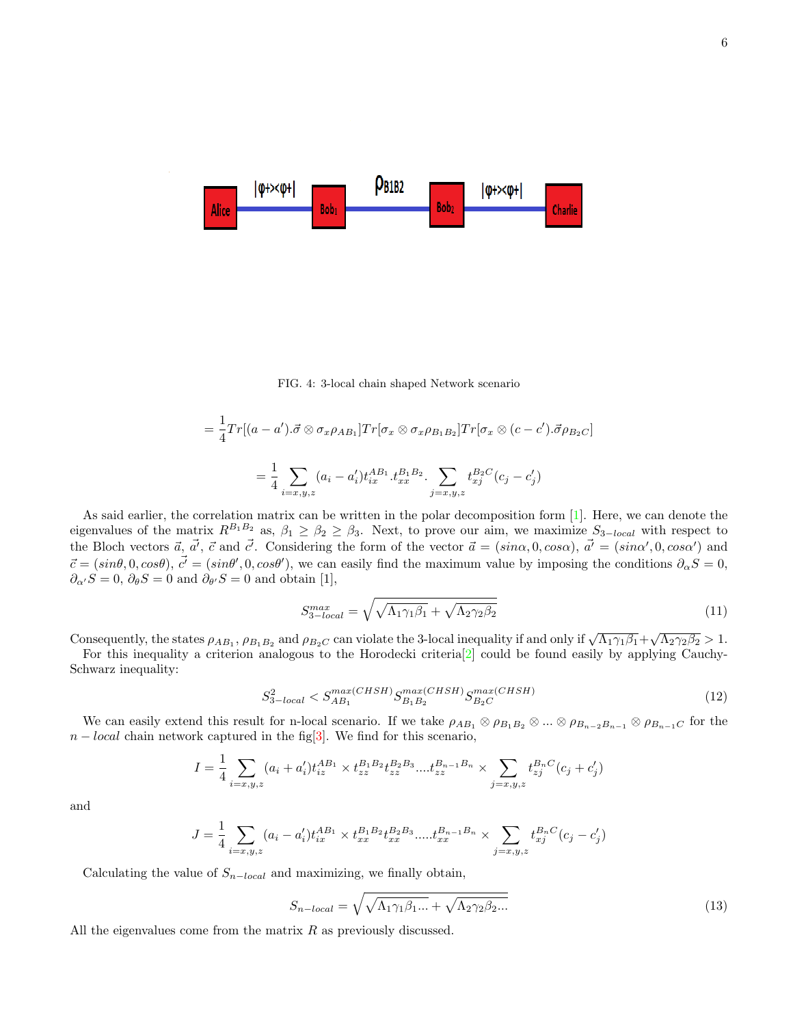

FIG. 4: 3-local chain shaped Network scenario

$$
= \frac{1}{4} Tr[(a-a').\vec{\sigma} \otimes \sigma_x \rho_{AB_1}] Tr[\sigma_x \otimes \sigma_x \rho_{B_1 B_2}] Tr[\sigma_x \otimes (c-c').\vec{\sigma} \rho_{B_2 C}]
$$
  

$$
= \frac{1}{4} \sum_{i=x,y,z} (a_i - a'_i) t_{ix}^{AB_1} . t_{xx}^{B_1 B_2} . \sum_{j=x,y,z} t_{xj}^{B_2 C} (c_j - c'_j)
$$

As said earlier, the correlation matrix can be written in the polar decomposition form [1]. Here, we can denote the eigenvalues of the matrix  $R^{B_1B_2}$  as,  $\beta_1 \geq \beta_2 \geq \beta_3$ . Next, to prove our aim, we maximize  $S_{3-local}$  with respect to the Bloch vectors  $\vec{a}$ ,  $\vec{a'}$ ,  $\vec{c}$  and  $\vec{c'}$ . Considering the form of the vector  $\vec{a} = (sin\alpha, 0, cos\alpha)$ ,  $\vec{a'} = (sin\alpha', 0, cos\alpha')$  and  $\vec{c} = (sin\theta, 0, cos\theta), \vec{c'} = (sin\theta', 0, cos\theta')$ , we can easily find the maximum value by imposing the conditions  $\partial_{\alpha}S = 0$ ,  $\partial_{\alpha'}S=0, \,\partial_{\theta}S=0$  and  $\partial_{\theta'}S=0$  and obtain [1],

$$
S_{3-local}^{max} = \sqrt{\sqrt{\Lambda_1 \gamma_1 \beta_1} + \sqrt{\Lambda_2 \gamma_2 \beta_2}}
$$
\n(11)

Consequently, the states  $\rho_{AB_1}$ ,  $\rho_{B_1B_2}$  and  $\rho_{B_2C}$  can violate the 3-local inequality if and only if  $\sqrt{\Lambda_1\gamma_1\beta_1} + \sqrt{\Lambda_2\gamma_2\beta_2} > 1$ .

For this inequality a criterion analogous to the Horodecki criteria[2] could be found easily by applying Cauchy-Schwarz inequality:

$$
S_{3-local}^2 < S_{AB_1}^{max(CHSH)} S_{B_1B_2}^{max(CHSH)} S_{B_2C}^{max(CHSH)} \tag{12}
$$

We can easily extend this result for n-local scenario. If we take  $\rho_{AB_1} \otimes \rho_{B_1B_2} \otimes ... \otimes \rho_{B_{n-2}B_{n-1}} \otimes \rho_{B_{n-1}C}$  for the  $n - local$  chain network captured in the fig[3]. We find for this scenario,

$$
I = \frac{1}{4} \sum_{i=x,y,z} (a_i + a'_i) t_{iz}^{AB_1} \times t_{zz}^{B_1 B_2} t_{zz}^{B_2 B_3} \dots t_{zz}^{B_{n-1} B_n} \times \sum_{j=x,y,z} t_{zj}^{B_n C} (c_j + c'_j)
$$

and

$$
J = \frac{1}{4} \sum_{i=x,y,z} (a_i - a'_i) t_{ix}^{AB_1} \times t_{xx}^{B_1 B_2} t_{xx}^{B_2 B_3} \dots t_{xx}^{B_{n-1} B_n} \times \sum_{j=x,y,z} t_{xj}^{B_n C} (c_j - c'_j)
$$

Calculating the value of  $S_{n-local}$  and maximizing, we finally obtain,

$$
S_{n-local} = \sqrt{\sqrt{\Lambda_1 \gamma_1 \beta_1 ...}} + \sqrt{\Lambda_2 \gamma_2 \beta_2 ...}
$$
\n(13)

All the eigenvalues come from the matrix  $R$  as previously discussed.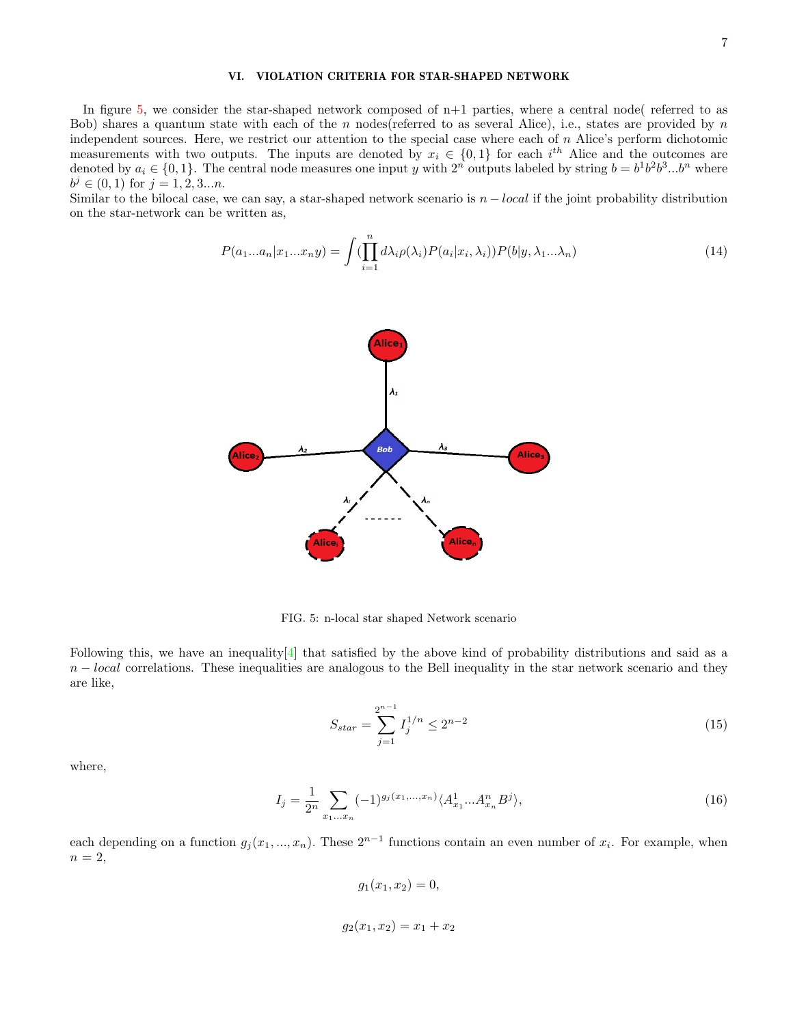## VI. VIOLATION CRITERIA FOR STAR-SHAPED NETWORK

In figure 5, we consider the star-shaped network composed of  $n+1$  parties, where a central node( referred to as Bob) shares a quantum state with each of the n nodes (referred to as several Alice), i.e., states are provided by  $n$ independent sources. Here, we restrict our attention to the special case where each of  $n$  Alice's perform dichotomic measurements with two outputs. The inputs are denoted by  $x_i \in \{0,1\}$  for each  $i^{th}$  Alice and the outcomes are denoted by  $a_i \in \{0,1\}$ . The central node measures one input y with  $2^n$  outputs labeled by string  $b = b^1b^2b^3...b^n$  where  $b^j \in (0,1)$  for  $j = 1, 2, 3...n$ .

Similar to the bilocal case, we can say, a star-shaped network scenario is  $n - local$  if the joint probability distribution on the star-network can be written as,

$$
P(a_1...a_n|x_1...x_ny) = \int \left(\prod_{i=1}^n d\lambda_i \rho(\lambda_i) P(a_i|x_i, \lambda_i)\right) P(b|y, \lambda_1...\lambda_n)
$$
\n(14)



FIG. 5: n-local star shaped Network scenario

Following this, we have an inequality  $[4]$  that satisfied by the above kind of probability distributions and said as a  $n - local$  correlations. These inequalities are analogous to the Bell inequality in the star network scenario and they are like,

$$
S_{star} = \sum_{j=1}^{2^{n-1}} I_j^{1/n} \le 2^{n-2}
$$
 (15)

where,

$$
I_j = \frac{1}{2^n} \sum_{x_1...x_n} (-1)^{g_j(x_1,...,x_n)} \langle A_{x_1}^1...A_{x_n}^n B^j \rangle,
$$
\n(16)

each depending on a function  $g_j(x_1,...,x_n)$ . These  $2^{n-1}$  functions contain an even number of  $x_i$ . For example, when  $n=2$ ,

$$
g_1(x_1, x_2) = 0,
$$
  

$$
g_2(x_1, x_2) = x_1 + x_2
$$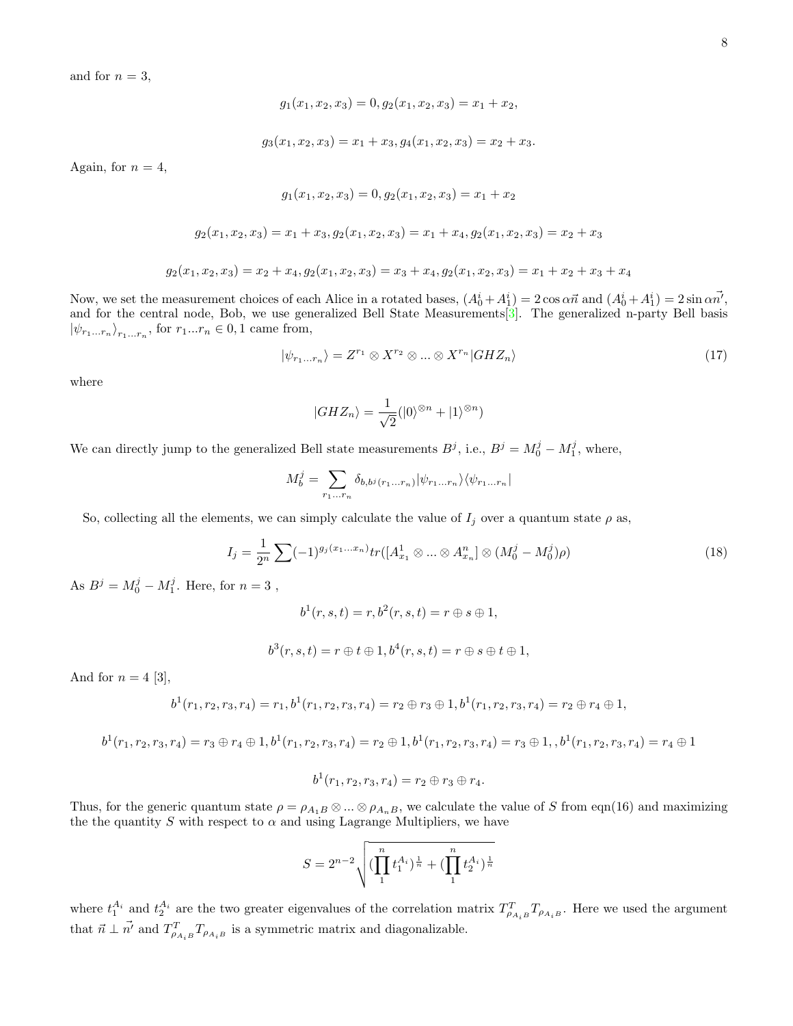and for  $n = 3$ ,

$$
g_1(x_1, x_2, x_3) = 0, g_2(x_1, x_2, x_3) = x_1 + x_2,
$$

$$
g_3(x_1, x_2, x_3) = x_1 + x_3, g_4(x_1, x_2, x_3) = x_2 + x_3.
$$

Again, for  $n = 4$ ,

$$
g_1(x_1, x_2, x_3) = 0, g_2(x_1, x_2, x_3) = x_1 + x_2
$$

$$
g_2(x_1, x_2, x_3) = x_1 + x_3, g_2(x_1, x_2, x_3) = x_1 + x_4, g_2(x_1, x_2, x_3) = x_2 + x_3
$$

$$
g_2(x_1, x_2, x_3) = x_2 + x_4, g_2(x_1, x_2, x_3) = x_3 + x_4, g_2(x_1, x_2, x_3) = x_1 + x_2 + x_3 + x_4
$$

Now, we set the measurement choices of each Alice in a rotated bases,  $(A_0^i + A_1^i) = 2 \cos \alpha \vec{n}$  and  $(A_0^i + A_1^i) = 2 \sin \alpha \vec{n'}$ , and for the central node, Bob, we use generalized Bell State Measurements<sup>[3]</sup>. The generalized n-party Bell basis  $|\psi_{r_1...r_n}\rangle_{r_1...r_n}$ , for  $r_1...r_n \in 0,1$  came from,

$$
|\psi_{r_1...r_n}\rangle = Z^{r_1} \otimes X^{r_2} \otimes ... \otimes X^{r_n} |GHZ_n\rangle \tag{17}
$$

where

$$
|GHZ_n\rangle = \frac{1}{\sqrt{2}}(|0\rangle^{\otimes n} + |1\rangle^{\otimes n})
$$

We can directly jump to the generalized Bell state measurements  $B^j$ , i.e.,  $B^j = M_0^j - M_1^j$ , where,

$$
M_b^j = \sum_{r_1...r_n} \delta_{b,b^j(r_1...r_n)} |\psi_{r_1...r_n}\rangle \langle \psi_{r_1...r_n}|
$$

So, collecting all the elements, we can simply calculate the value of  $I_j$  over a quantum state  $\rho$  as,

$$
I_j = \frac{1}{2^n} \sum (-1)^{g_j(x_1...x_n)} tr([A_{x_1}^1 \otimes ... \otimes A_{x_n}^n] \otimes (M_0^j - M_0^j)\rho)
$$
(18)

As  $B^j = M_0^j - M_1^j$ . Here, for  $n = 3$ ,

$$
b^{1}(r,s,t)=r,b^{2}(r,s,t)=r\oplus s\oplus 1,
$$

$$
b^{3}(r, s, t) = r \oplus t \oplus 1, b^{4}(r, s, t) = r \oplus s \oplus t \oplus 1,
$$

And for  $n = 4$  [3],

$$
b^{1}(r_{1}, r_{2}, r_{3}, r_{4})=r_{1}, b^{1}(r_{1}, r_{2}, r_{3}, r_{4})=r_{2} \oplus r_{3} \oplus 1, b^{1}(r_{1}, r_{2}, r_{3}, r_{4})=r_{2} \oplus r_{4} \oplus 1,
$$

$$
b^{1}(r_{1},r_{2},r_{3},r_{4})=r_{3} \oplus r_{4} \oplus 1, b^{1}(r_{1},r_{2},r_{3},r_{4})=r_{2} \oplus 1, b^{1}(r_{1},r_{2},r_{3},r_{4})=r_{3} \oplus 1, b^{1}(r_{1},r_{2},r_{3},r_{4})=r_{4} \oplus 1
$$

$$
b^{1}(r_{1}, r_{2}, r_{3}, r_{4})=r_{2}\oplus r_{3}\oplus r_{4}.
$$

Thus, for the generic quantum state  $\rho = \rho_{A_1B} \otimes ... \otimes \rho_{A_nB}$ , we calculate the value of S from eqn(16) and maximizing the the quantity S with respect to  $\alpha$  and using Lagrange Multipliers, we have

$$
S = 2^{n-2} \sqrt{(\prod_{1}^{n} t_1^{A_i})^{\frac{1}{n}} + (\prod_{1}^{n} t_2^{A_i})^{\frac{1}{n}}}
$$

where  $t_1^{A_i}$  and  $t_2^{A_i}$  are the two greater eigenvalues of the correlation matrix  $T_{\rho_{A_iB}}^T T_{\rho_{A_iB}}$ . Here we used the argument that  $\vec{n} \perp \vec{n'}$  and  $T_{\rho_{A_iB}}^T T_{\rho_{A_iB}}$  is a symmetric matrix and diagonalizable.